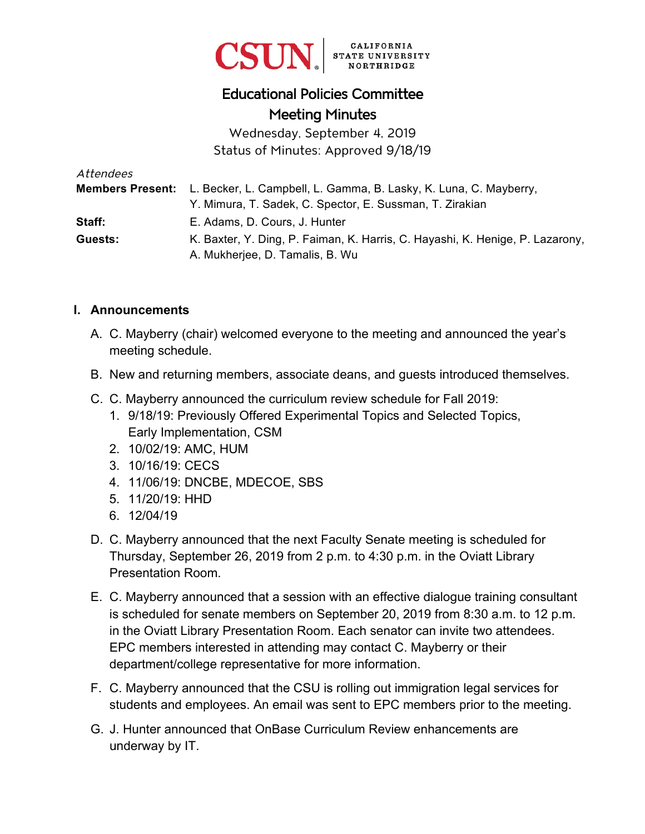

## Educational Policies Committee Meeting Minutes

Wednesday, September 4, 2019 Status of Minutes: Approved 9/18/19

| Attendees |                                                                                           |
|-----------|-------------------------------------------------------------------------------------------|
|           | <b>Members Present:</b> L. Becker, L. Campbell, L. Gamma, B. Lasky, K. Luna, C. Mayberry, |
|           | Y. Mimura, T. Sadek, C. Spector, E. Sussman, T. Zirakian                                  |
| Staff:    | E. Adams, D. Cours, J. Hunter                                                             |
| Guests:   | K. Baxter, Y. Ding, P. Faiman, K. Harris, C. Hayashi, K. Henige, P. Lazarony,             |
|           | A. Mukherjee, D. Tamalis, B. Wu                                                           |

## **I. Announcements**

- A. C. Mayberry (chair) welcomed everyone to the meeting and announced the year's meeting schedule.
- B. New and returning members, associate deans, and guests introduced themselves.
- C. C. Mayberry announced the curriculum review schedule for Fall 2019:
	- 1. 9/18/19: Previously Offered Experimental Topics and Selected Topics, Early Implementation, CSM
	- 2. 10/02/19: AMC, HUM
	- 3. 10/16/19: CECS
	- 4. 11/06/19: DNCBE, MDECOE, SBS
	- 5. 11/20/19: HHD
	- 6. 12/04/19
- D. C. Mayberry announced that the next Faculty Senate meeting is scheduled for Thursday, September 26, 2019 from 2 p.m. to 4:30 p.m. in the Oviatt Library Presentation Room.
- E. C. Mayberry announced that a session with an effective dialogue training consultant is scheduled for senate members on September 20, 2019 from 8:30 a.m. to 12 p.m. in the Oviatt Library Presentation Room. Each senator can invite two attendees. EPC members interested in attending may contact C. Mayberry or their department/college representative for more information.
- F. C. Mayberry announced that the CSU is rolling out immigration legal services for students and employees. An email was sent to EPC members prior to the meeting.
- G. J. Hunter announced that OnBase Curriculum Review enhancements are underway by IT.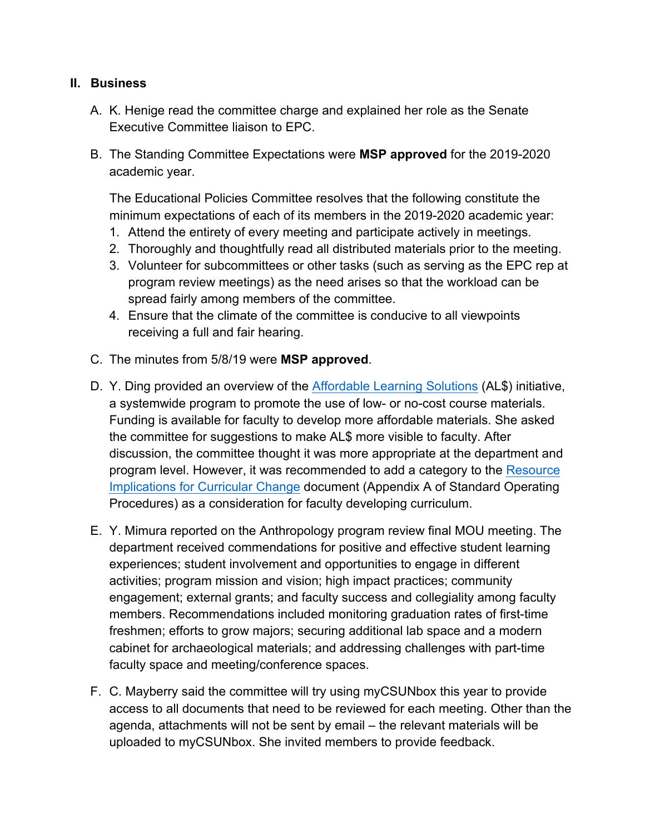## **II. Business**

- A. K. Henige read the committee charge and explained her role as the Senate Executive Committee liaison to EPC.
- B. The Standing Committee Expectations were **MSP approved** for the 2019-2020 academic year.

The Educational Policies Committee resolves that the following constitute the minimum expectations of each of its members in the 2019-2020 academic year:

- 1. Attend the entirety of every meeting and participate actively in meetings.
- 2. Thoroughly and thoughtfully read all distributed materials prior to the meeting.
- 3. Volunteer for subcommittees or other tasks (such as serving as the EPC rep at program review meetings) as the need arises so that the workload can be spread fairly among members of the committee.
- 4. Ensure that the climate of the committee is conducive to all viewpoints receiving a full and fair hearing.
- C. The minutes from 5/8/19 were **MSP approved**.
- D. Y. Ding provided an overview of the [Affordable Learning Solutions](https://libguides.csun.edu/affordable-learning-solutions) (AL\$) initiative, a systemwide program to promote the use of low- or no-cost course materials. Funding is available for faculty to develop more affordable materials. She asked the committee for suggestions to make AL\$ more visible to faculty. After discussion, the committee thought it was more appropriate at the department and program level. However, it was recommended to add a category to the Resource [Implications for Curricular Change](https://www.csun.edu/sites/default/files/ResourceImplicationsforCurricularChange.doc) document (Appendix A of Standard Operating Procedures) as a consideration for faculty developing curriculum.
- E. Y. Mimura reported on the Anthropology program review final MOU meeting. The department received commendations for positive and effective student learning experiences; student involvement and opportunities to engage in different activities; program mission and vision; high impact practices; community engagement; external grants; and faculty success and collegiality among faculty members. Recommendations included monitoring graduation rates of first-time freshmen; efforts to grow majors; securing additional lab space and a modern cabinet for archaeological materials; and addressing challenges with part-time faculty space and meeting/conference spaces.
- F. C. Mayberry said the committee will try using myCSUNbox this year to provide access to all documents that need to be reviewed for each meeting. Other than the agenda, attachments will not be sent by email – the relevant materials will be uploaded to myCSUNbox. She invited members to provide feedback.